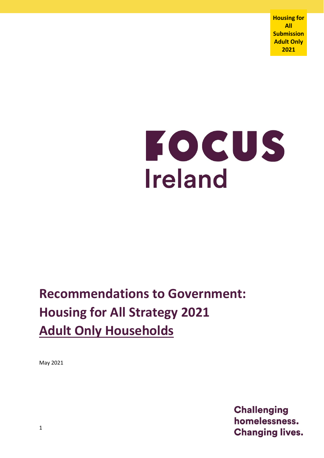**Housing for All Submission Adult Only 2021**

# FOCUS **Ireland**

# **Recommendations to Government: Housing for All Strategy 2021 Adult Only Households**

May 2021

**Challenging** homelessness. **Changing lives.**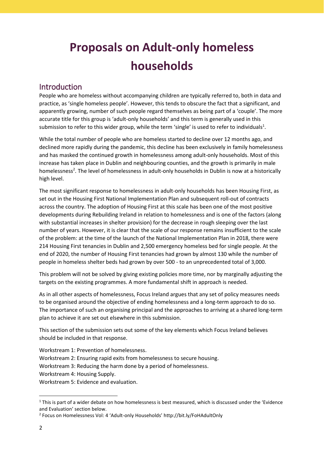# **Proposals on Adult-only homeless households**

### Introduction

People who are homeless without accompanying children are typically referred to, both in data and practice, as 'single homeless people'. However, this tends to obscure the fact that a significant, and apparently growing, number of such people regard themselves as being part of a 'couple'. The more accurate title for this group is 'adult-only households' and this term is generally used in this submission to refer to this wider group, while the term 'single' is used to refer to individuals<sup>1</sup>.

While the total number of people who are homeless started to decline over 12 months ago, and declined more rapidly during the pandemic, this decline has been exclusively in family homelessness and has masked the continued growth in homelessness among adult-only households. Most of this increase has taken place in Dublin and neighbouring counties, and the growth is primarily in male homelessness<sup>2</sup>. The level of homelessness in adult-only households in Dublin is now at a historically high level.

The most significant response to homelessness in adult-only households has been Housing First, as set out in the Housing First National Implementation Plan and subsequent roll-out of contracts across the country. The adoption of Housing First at this scale has been one of the most positive developments during Rebuilding Ireland in relation to homelessness and is one of the factors (along with substantial increases in shelter provision) for the decrease in rough sleeping over the last number of years. However, it is clear that the scale of our response remains insufficient to the scale of the problem: at the time of the launch of the National Implementation Plan in 2018, there were 214 Housing First tenancies in Dublin and 2,500 emergency homeless bed for single people. At the end of 2020, the number of Housing First tenancies had grown by almost 130 while the number of people in homeless shelter beds had grown by over 500 - to an unprecedented total of 3,000.

This problem will not be solved by giving existing policies more time, nor by marginally adjusting the targets on the existing programmes. A more fundamental shift in approach is needed.

As in all other aspects of homelessness, Focus Ireland argues that any set of policy measures needs to be organised around the objective of ending homelessness and a long-term approach to do so. The importance of such an organising principal and the approaches to arriving at a shared long-term plan to achieve it are set out elsewhere in this submission.

This section of the submission sets out some of the key elements which Focus Ireland believes should be included in that response.

Workstream 1: Prevention of homelessness.

Workstream 2: Ensuring rapid exits from homelessness to secure housing.

Workstream 3: Reducing the harm done by a period of homelessness.

Workstream 4: Housing Supply.

Workstream 5: Evidence and evaluation.

<sup>&</sup>lt;sup>1</sup> This is part of a wider debate on how homelessness is best measured, which is discussed under the 'Evidence and Evaluation' section below.

<sup>2</sup> Focus on Homelessness Vol: 4 'Adult-only Households' http://bit.ly/FoHAdultOnly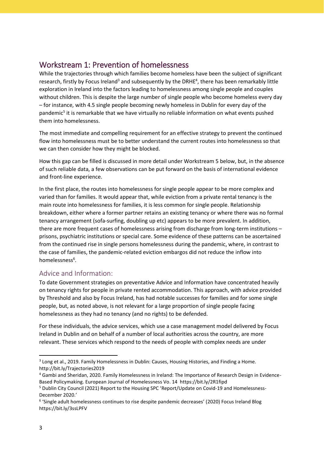## Workstream 1: Prevention of homelessness

While the trajectories through which families become homeless have been the subject of significant research, firstly by Focus Ireland<sup>3</sup> and subsequently by the DRHE<sup>4</sup>, there has been remarkably little exploration in Ireland into the factors leading to homelessness among single people and couples without children. This is despite the large number of single people who become homeless every day – for instance, with 4.5 single people becoming newly homeless in Dublin for every day of the pandemic<sup>5</sup> it is remarkable that we have virtually no reliable information on what events pushed them into homelessness.

The most immediate and compelling requirement for an effective strategy to prevent the continued flow into homelessness must be to better understand the current routes into homelessness so that we can then consider how they might be blocked.

How this gap can be filled is discussed in more detail under Workstream 5 below, but, in the absence of such reliable data, a few observations can be put forward on the basis of international evidence and front-line experience.

In the first place, the routes into homelessness for single people appear to be more complex and varied than for families. It would appear that, while eviction from a private rental tenancy is the main route into homelessness for families, it is less common for single people. Relationship breakdown, either where a former partner retains an existing tenancy or where there was no formal tenancy arrangement (sofa-surfing, doubling up etc) appears to be more prevalent. In addition, there are more frequent cases of homelessness arising from discharge from long-term institutions – prisons, psychiatric institutions or special care. Some evidence of these patterns can be ascertained from the continued rise in single persons homelessness during the pandemic, where, in contrast to the case of families, the pandemic-related eviction embargos did not reduce the inflow into homelessness<sup>6</sup>.

#### Advice and Information:

To date Government strategies on preventative Advice and Information have concentrated heavily on tenancy rights for people in private rented accommodation. This approach, with advice provided by Threshold and also by Focus Ireland, has had notable successes for families and for some single people, but, as noted above, is not relevant for a large proportion of single people facing homelessness as they had no tenancy (and no rights) to be defended.

For these individuals, the advice services, which use a case management model delivered by Focus Ireland in Dublin and on behalf of a number of local authorities across the country, are more relevant. These services which respond to the needs of people with complex needs are under

<sup>&</sup>lt;sup>3</sup> Long et al., 2019. Family Homelessness in Dublin: Causes, Housing Histories, and Finding a Home. http://bit.ly/Trajectories2019

<sup>4</sup> Gambi and Sheridan, 2020. Family Homelessness in Ireland: The Importance of Research Design in Evidence-Based Policymaking. European Journal of Homelessness Vo. 14 https://bit.ly/2R1fipd

<sup>5</sup> Dublin City Council (2021) Report to the Housing SPC 'Report/Update on Covid-19 and Homelessness-December 2020.'

<sup>6</sup> 'Single adult homelessness continues to rise despite pandemic decreases' (2020) Focus Ireland Blog https://bit.ly/3ssLPFV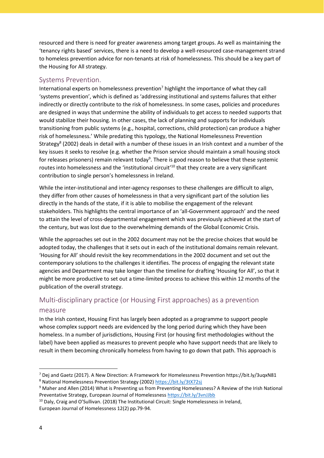resourced and there is need for greater awareness among target groups. As well as maintaining the 'tenancy rights based' services, there is a need to develop a well-resourced case-management strand to homeless prevention advice for non-tenants at risk of homelessness. This should be a key part of the Housing for All strategy.

#### Systems Prevention.

International experts on homelessness prevention<sup>7</sup> highlight the importance of what they call 'systems prevention', which is defined as 'addressing institutional and systems failures that either indirectly or directly contribute to the risk of homelessness. In some cases, policies and procedures are designed in ways that undermine the ability of individuals to get access to needed supports that would stabilize their housing. In other cases, the lack of planning and supports for individuals transitioning from public systems (e.g., hospital, corrections, child protection) can produce a higher risk of homelessness.' While predating this typology, the National Homelessness Prevention Strategy<sup>8</sup> (2002) deals in detail with a number of these issues in an Irish context and a number of the key issues it seeks to resolve (e.g. whether the Prison service should maintain a small housing stock for releases prisoners) remain relevant today<sup>9</sup>. There is good reason to believe that these systemic routes into homelessness and the 'institutional circuit'<sup>10</sup> that they create are a very significant contribution to single person's homelessness in Ireland.

While the inter-institutional and inter-agency responses to these challenges are difficult to align, they differ from other causes of homelessness in that a very significant part of the solution lies directly in the hands of the state, if it is able to mobilise the engagement of the relevant stakeholders. This highlights the central importance of an 'all-Government approach' and the need to attain the level of cross-departmental engagement which was previously achieved at the start of the century, but was lost due to the overwhelming demands of the Global Economic Crisis.

While the approaches set out in the 2002 document may not be the precise choices that would be adopted today, the challenges that it sets out in each of the institutional domains remain relevant. 'Housing for All' should revisit the key recommendations in the 2002 document and set out the contemporary solutions to the challenges it identifies. The process of engaging the relevant state agencies and Department may take longer than the timeline for drafting 'Housing for All', so that it might be more productive to set out a time-limited process to achieve this within 12 months of the publication of the overall strategy.

# Multi-disciplinary practice (or Housing First approaches) as a prevention

#### measure

In the Irish context, Housing First has largely been adopted as a programme to support people whose complex support needs are evidenced by the long period during which they have been homeless. In a number of jurisdictions, Housing First (or housing first methodologies without the label) have been applied as measures to prevent people who have support needs that are likely to result in them becoming chronically homeless from having to go down that path. This approach is

1

<sup>7</sup> Dej and Gaetz (2017). A New Direction: A Framework for Homelessness Prevention https://bit.ly/3uqxN81 8 National Homelessness Prevention Strategy (2002) https://bit.ly/3tX72si

<sup>9</sup> Maher and Allen (2014) What is Preventing us from Preventing Homelessness? A Review of the Irish National Preventative Strategy, European Journal of Homelessness<https://bit.ly/3vnJJbb>

<sup>&</sup>lt;sup>10</sup> Daly, Craig and O'Sullivan. (2018) The Institutional Circuit: Single Homelessness in Ireland, European Journal of Homelessness 12(2) pp.79-94.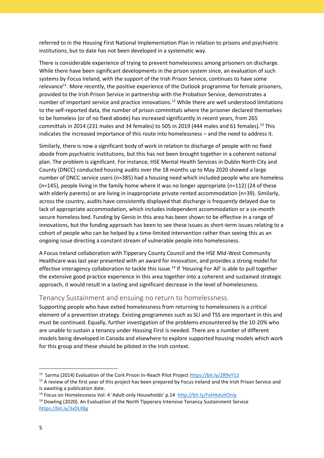referred to in the Housing First National Implementation Plan in relation to prisons and psychiatric institutions, but to date has not been developed in a systematic way.

There is considerable experience of trying to prevent homelessness among prisoners on discharge. While there have been significant developments in the prison system since, an evaluation of such systems by Focus Ireland, with the support of the Irish Prison Service, continues to have some relevance<sup>11</sup>. More recently, the positive experience of the Outlook programme for female prisoners, provided to the Irish Prison Service in partnership with the Probation Service, demonstrates a number of important service and practice innovations.<sup>12</sup> While there are well understood limitations to the self-reported data, the number of prison committals where the prisoner declared themselves to be homeless (or of no fixed abode) has increased significantly in recent years, from 265 committals in 2014 (231 males and 34 females) to 505 in 2019 (444 males and 61 females).<sup>13</sup> This indicates the increased importance of this route into homelessness – and the need to address it.

Similarly, there is now a significant body of work in relation to discharge of people with no fixed abode from psychiatric institutions, but this has not been brought together in a coherent national plan. The problem is significant. For instance, HSE Mental Health Services in Dublin North City and County (DNCC) conducted housing audits over the 18 months up to May 2020 showed a large number of DNCC service users (n=385) had a housing need which included people who are homeless (n=145), people living in the family home where it was no longer appropriate (n=112) (24 of these with elderly parents) or are living in inappropriate private rented accommodation (n=39). Similarly, across the country, audits have consistently displayed that discharge is frequently delayed due to lack of appropriate accommodation, which includes independent accommodation or a six-month secure homeless bed. Funding by Genio in this area has been shown to be effective in a range of innovations, but the funding approach has been to see these issues as short-term issues relating to a cohort of people who can be helped by a time-limited intervention rather than seeing this as an ongoing issue directing a constant stream of vulnerable people into homelessness.

A Focus Ireland collaboration with Tipperary County Council and the HSE Mid-West Community Healthcare was last year presented with an award for innovation, and provides a strong model for effective interagency collaboration to tackle this issue.<sup>14</sup> If 'Housing For All' is able to pull together the extensive good practice experience in this area together into a coherent and sustained strategic approach, it would result in a lasting and significant decrease in the level of homelessness.

#### Tenancy Sustainment and ensuing no return to homelessness.

Supporting people who have exited homelessness from returning to homelessness is a critical element of a prevention strategy. Existing programmes such as SLI and TSS are important in this and must be continued. Equally, further investigation of the problems encountered by the 10-20% who are unable to sustain a tenancy under Housing First is needed. There are a number of different models being developed in Canada and elsewhere to explore supported housing models which work for this group and these should be piloted in the Irish context.

<sup>13</sup> Focus on Homelessness Vol: 4 'Adult-only Households' p.14<http://bit.ly/FoHAdultOnly>

<sup>14</sup> Dowling (2020). An Evaluation of the North Tipperary Intensive Tenancy Sustainment Service <https://bit.ly/3xDLX8g>

1

<sup>&</sup>lt;sup>11</sup> Sarma (2014) Evaluation of the Cork Prison In-Reach Pilot Project<https://bit.ly/2R9vY12>

 $12$  A review of the first year of this project has been prepared by Focus Ireland and the Irish Prison Service and is awaiting a publication date.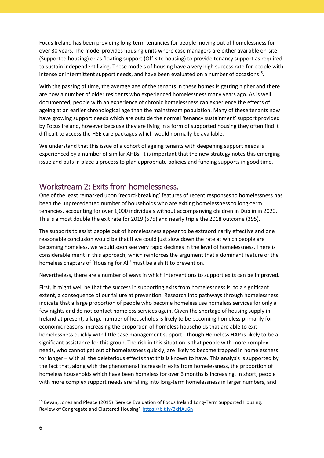Focus Ireland has been providing long-term tenancies for people moving out of homelessness for over 30 years. The model provides housing units where case managers are either available on-site (Supported housing) or as floating support (Off-site housing) to provide tenancy support as required to sustain independent living. These models of housing have a very high success rate for people with intense or intermittent support needs, and have been evaluated on a number of occasions<sup>15</sup>.

With the passing of time, the average age of the tenants in these homes is getting higher and there are now a number of older residents who experienced homelessness many years ago. As is well documented, people with an experience of chronic homelessness can experience the effects of ageing at an earlier chronological age than the mainstream population. Many of these tenants now have growing support needs which are outside the normal 'tenancy sustainment' support provided by Focus Ireland, however because they are living in a form of supported housing they often find it difficult to access the HSE care packages which would normally be available.

We understand that this issue of a cohort of ageing tenants with deepening support needs is experienced by a number of similar AHBs. It is important that the new strategy notes this emerging issue and puts in place a process to plan appropriate policies and funding supports in good time.

#### Workstream 2: Exits from homelessness.

One of the least remarked upon 'record-breaking' features of recent responses to homelessness has been the unprecedented number of households who are exiting homelessness to long-term tenancies, accounting for over 1,000 individuals without accompanying children in Dublin in 2020. This is almost double the exit rate for 2019 (575) and nearly triple the 2018 outcome (395).

The supports to assist people out of homelessness appear to be extraordinarily effective and one reasonable conclusion would be that if we could just slow down the rate at which people are becoming homeless, we would soon see very rapid declines in the level of homelessness. There is considerable merit in this approach, which reinforces the argument that a dominant feature of the homeless chapters of 'Housing for All' must be a shift to prevention.

Nevertheless, there are a number of ways in which interventions to support exits can be improved.

First, it might well be that the success in supporting exits from homelessness is, to a significant extent, a consequence of our failure at prevention. Research into pathways through homelessness indicate that a large proportion of people who become homeless use homeless services for only a few nights and do not contact homeless services again. Given the shortage of housing supply in Ireland at present, a large number of households is likely to be becoming homeless primarily for economic reasons, increasing the proportion of homeless households that are able to exit homelessness quickly with little case management support - though Homeless HAP is likely to be a significant assistance for this group. The risk in this situation is that people with more complex needs, who cannot get out of homelessness quickly, are likely to become trapped in homelessness for longer – with all the deleterious effects that this is known to have. This analysis is supported by the fact that, along with the phenomenal increase in exits from homelessness, the proportion of homeless households which have been homeless for over 6 months is increasing. In short, people with more complex support needs are falling into long-term homelessness in larger numbers, and

<sup>15</sup> Bevan, Jones and Pleace (2015) 'Service Evaluation of Focus Ireland Long-Term Supported Housing: Review of Congregate and Clustered Housing' <https://bit.ly/3xNAu6n>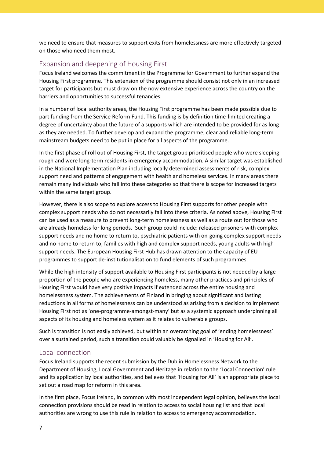we need to ensure that measures to support exits from homelessness are more effectively targeted on those who need them most.

#### Expansion and deepening of Housing First.

Focus Ireland welcomes the commitment in the Programme for Government to further expand the Housing First programme. This extension of the programme should consist not only in an increased target for participants but must draw on the now extensive experience across the country on the barriers and opportunities to successful tenancies.

In a number of local authority areas, the Housing First programme has been made possible due to part funding from the Service Reform Fund. This funding is by definition time-limited creating a degree of uncertainty about the future of a supports which are intended to be provided for as long as they are needed. To further develop and expand the programme, clear and reliable long-term mainstream budgets need to be put in place for all aspects of the programme.

In the first phase of roll out of Housing First, the target group prioritised people who were sleeping rough and were long-term residents in emergency accommodation. A similar target was established in the National Implementation Plan including locally determined assessments of risk, complex support need and patterns of engagement with health and homeless services. In many areas there remain many individuals who fall into these categories so that there is scope for increased targets within the same target group.

However, there is also scope to explore access to Housing First supports for other people with complex support needs who do not necessarily fall into these criteria. As noted above, Housing First can be used as a measure to prevent long-term homelessness as well as a route out for those who are already homeless for long periods. Such group could include: released prisoners with complex support needs and no home to return to, psychiatric patients with on-going complex support needs and no home to return to, families with high and complex support needs, young adults with high support needs. The European Housing First Hub has drawn attention to the capacity of EU programmes to support de-institutionalisation to fund elements of such programmes.

While the high intensity of support available to Housing First participants is not needed by a large proportion of the people who are experiencing homeless, many other practices and principles of Housing First would have very positive impacts if extended across the entire housing and homelessness system. The achievements of Finland in bringing about significant and lasting reductions in all forms of homelessness can be understood as arising from a decision to implement Housing First not as 'one-programme-amongst-many' but as a systemic approach underpinning all aspects of its housing and homeless system as it relates to vulnerable groups.

Such is transition is not easily achieved, but within an overarching goal of 'ending homelessness' over a sustained period, such a transition could valuably be signalled in 'Housing for All'.

#### Local connection

Focus Ireland supports the recent submission by the Dublin Homelessness Network to the Department of Housing, Local Government and Heritage in relation to the 'Local Connection' rule and its application by local authorities, and believes that 'Housing for All' is an appropriate place to set out a road map for reform in this area.

In the first place, Focus Ireland, in common with most independent legal opinion, believes the local connection provisions should be read in relation to access to social housing list and that local authorities are wrong to use this rule in relation to access to emergency accommodation.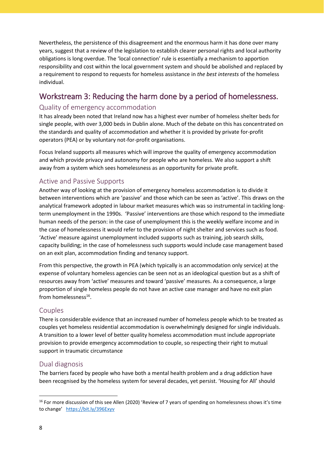Nevertheless, the persistence of this disagreement and the enormous harm it has done over many years, suggest that a review of the legislation to establish clearer personal rights and local authority obligations is long overdue. The 'local connection' rule is essentially a mechanism to apportion responsibility and cost within the local government system and should be abolished and replaced by a requirement to respond to requests for homeless assistance in *the best interests* of the homeless individual.

## Workstream 3: Reducing the harm done by a period of homelessness.

#### Quality of emergency accommodation

It has already been noted that Ireland now has a highest ever number of homeless shelter beds for single people, with over 3,000 beds in Dublin alone. Much of the debate on this has concentrated on the standards and quality of accommodation and whether it is provided by private for-profit operators (PEA) or by voluntary not-for-profit organisations.

Focus Ireland supports all measures which will improve the quality of emergency accommodation and which provide privacy and autonomy for people who are homeless. We also support a shift away from a system which sees homelessness as an opportunity for private profit.

#### Active and Passive Supports

Another way of looking at the provision of emergency homeless accommodation is to divide it between interventions which are 'passive' and those which can be seen as 'active'. This draws on the analytical framework adopted in labour market measures which was so instrumental in tackling longterm unemployment in the 1990s. 'Passive' interventions are those which respond to the immediate human needs of the person: in the case of unemployment this is the weekly welfare income and in the case of homelessness it would refer to the provision of night shelter and services such as food. 'Active' measure against unemployment included supports such as training, job search skills, capacity building; in the case of homelessness such supports would include case management based on an exit plan, accommodation finding and tenancy support.

From this perspective, the growth in PEA (which typically is an accommodation only service) at the expense of voluntary homeless agencies can be seen not as an ideological question but as a shift of resources away from 'active' measures and toward 'passive' measures. As a consequence, a large proportion of single homeless people do not have an active case manager and have no exit plan from homelessness<sup>16</sup>.

#### Couples

There is considerable evidence that an increased number of homeless people which to be treated as couples yet homeless residential accommodation is overwhelmingly designed for single individuals. A transition to a lower level of better quality homeless accommodation must include appropriate provision to provide emergency accommodation to couple, so respecting their right to mutual support in traumatic circumstance

#### Dual diagnosis

The barriers faced by people who have both a mental health problem and a drug addiction have been recognised by the homeless system for several decades, yet persist. 'Housing for All' should

<sup>&</sup>lt;sup>16</sup> For more discussion of this see Allen (2020) 'Review of 7 years of spending on homelessness shows it's time to change' <https://bit.ly/396Exyv>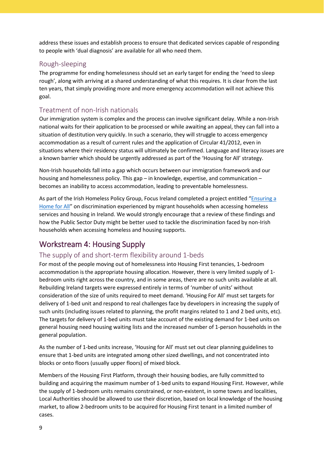address these issues and establish process to ensure that dedicated services capable of responding to people with 'dual diagnosis' are available for all who need them.

#### Rough-sleeping

The programme for ending homelessness should set an early target for ending the 'need to sleep rough', along with arriving at a shared understanding of what this requires. It is clear from the last ten years, that simply providing more and more emergency accommodation will not achieve this goal.

#### Treatment of non-Irish nationals

Our immigration system is complex and the process can involve significant delay. While a non-Irish national waits for their application to be processed or while awaiting an appeal, they can fall into a situation of destitution very quickly. In such a scenario, they will struggle to access emergency accommodation as a result of current rules and the application of Circular 41/2012, even in situations where their residency status will ultimately be confirmed. Language and literacy issues are a known barrier which should be urgently addressed as part of the 'Housing for All' strategy.

Non-Irish households fall into a gap which occurs between our immigration framework and our housing and homelessness policy. This gap – in knowledge, expertise, and communication – becomes an inability to access accommodation, leading to preventable homelessness.

As part of the Irish Homeless Policy Group, Focus Ireland completed a project entitled "Ensuring a [Home for All](https://focusireland-old.gdlindev.net/wp-content/uploads/2021/02/Ensuring-a-Home-for-All-Report-FINAL.pdf)" on discrimination experienced by migrant households when accessing homeless services and housing in Ireland. We would strongly encourage that a review of these findings and how the Public Sector Duty might be better used to tackle the discrimination faced by non-Irish households when accessing homeless and housing supports.

# Workstream 4: Housing Supply

#### The supply of and short-term flexibility around 1-beds

For most of the people moving out of homelessness into Housing First tenancies, 1-bedroom accommodation is the appropriate housing allocation. However, there is very limited supply of 1 bedroom units right across the country, and in some areas, there are no such units available at all. Rebuilding Ireland targets were expressed entirely in terms of 'number of units' without consideration of the size of units required to meet demand. 'Housing For All' must set targets for delivery of 1-bed unit and respond to real challenges face by developers in increasing the supply of such units (including issues related to planning, the profit margins related to 1 and 2 bed units, etc). The targets for delivery of 1-bed units must take account of the existing demand for 1-bed units on general housing need housing waiting lists and the increased number of 1-person households in the general population.

As the number of 1-bed units increase, 'Housing for All' must set out clear planning guidelines to ensure that 1-bed units are integrated among other sized dwellings, and not concentrated into blocks or onto floors (usually upper floors) of mixed block.

Members of the Housing First Platform, through their housing bodies, are fully committed to building and acquiring the maximum number of 1-bed units to expand Housing First. However, while the supply of 1-bedroom units remains constrained, or non-existent, in some towns and localities, Local Authorities should be allowed to use their discretion, based on local knowledge of the housing market, to allow 2-bedroom units to be acquired for Housing First tenant in a limited number of cases.